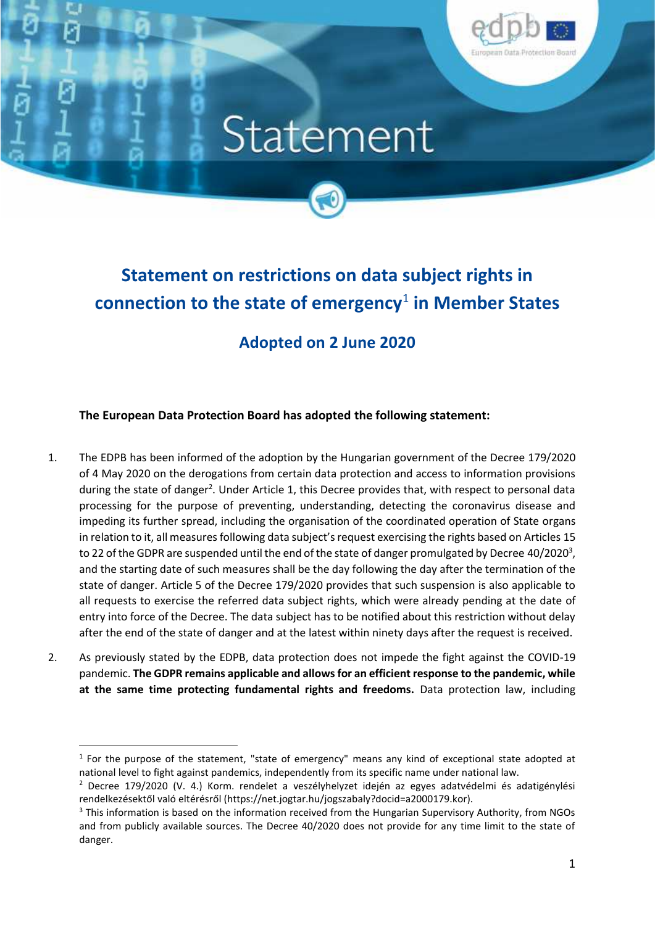

## Statement



## **Adopted on 2 June 2020**

**The European Data Protection Board has adopted the following statement:**

- 1. The EDPB has been informed of the adoption by the Hungarian government of the Decree 179/2020 of 4 May 2020 on the derogations from certain data protection and access to information provisions during the state of danger<sup>2</sup>. Under Article 1, this Decree provides that, with respect to personal data processing for the purpose of preventing, understanding, detecting the coronavirus disease and impeding its further spread, including the organisation of the coordinated operation of State organs in relation to it, all measures following data subject's request exercising the rights based on Articles 15 to 22 of the GDPR are suspended until the end of the state of danger promulgated by Decree 40/2020<sup>3</sup>, and the starting date of such measures shall be the day following the day after the termination of the state of danger. Article 5 of the Decree 179/2020 provides that such suspension is also applicable to all requests to exercise the referred data subject rights, which were already pending at the date of entry into force of the Decree. The data subject has to be notified about this restriction without delay after the end of the state of danger and at the latest within ninety days after the request is received.
- 2. As previously stated by the EDPB, data protection does not impede the fight against the COVID-19 pandemic. **The GDPR remains applicable and allows for an efficient response to the pandemic, while at the same time protecting fundamental rights and freedoms.** Data protection law, including

<sup>1</sup> For the purpose of the statement, "state of emergency" means any kind of exceptional state adopted at national level to fight against pandemics, independently from its specific name under national law.

<sup>&</sup>lt;sup>2</sup> Decree 179/2020 (V. 4.) Korm. rendelet a veszélyhelyzet idején az egyes adatvédelmi és adatigénylési rendelkezésektől való eltérésről (https://net.jogtar.hu/jogszabaly?docid=a2000179.kor).

<sup>&</sup>lt;sup>3</sup> This information is based on the information received from the Hungarian Supervisory Authority, from NGOs and from publicly available sources. The Decree 40/2020 does not provide for any time limit to the state of danger.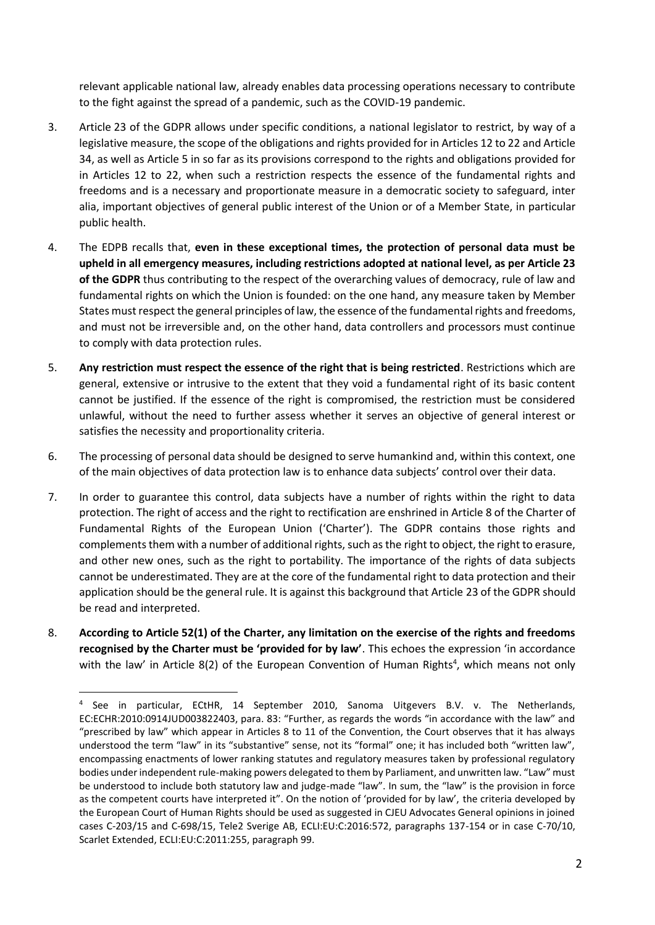relevant applicable national law, already enables data processing operations necessary to contribute to the fight against the spread of a pandemic, such as the COVID-19 pandemic.

- 3. Article 23 of the GDPR allows under specific conditions, a national legislator to restrict, by way of a legislative measure, the scope of the obligations and rights provided for in Articles 12 to 22 and Article 34, as well as Article 5 in so far as its provisions correspond to the rights and obligations provided for in Articles 12 to 22, when such a restriction respects the essence of the fundamental rights and freedoms and is a necessary and proportionate measure in a democratic society to safeguard, inter alia, important objectives of general public interest of the Union or of a Member State, in particular public health.
- 4. The EDPB recalls that, **even in these exceptional times, the protection of personal data must be upheld in all emergency measures, including restrictions adopted at national level, as per Article 23 of the GDPR** thus contributing to the respect of the overarching values of democracy, rule of law and fundamental rights on which the Union is founded: on the one hand, any measure taken by Member States must respect the general principles of law, the essence of the fundamental rights and freedoms, and must not be irreversible and, on the other hand, data controllers and processors must continue to comply with data protection rules.
- 5. **Any restriction must respect the essence of the right that is being restricted**. Restrictions which are general, extensive or intrusive to the extent that they void a fundamental right of its basic content cannot be justified. If the essence of the right is compromised, the restriction must be considered unlawful, without the need to further assess whether it serves an objective of general interest or satisfies the necessity and proportionality criteria.
- 6. The processing of personal data should be designed to serve humankind and, within this context, one of the main objectives of data protection law is to enhance data subjects' control over their data.
- 7. In order to guarantee this control, data subjects have a number of rights within the right to data protection. The right of access and the right to rectification are enshrined in Article 8 of the Charter of Fundamental Rights of the European Union ('Charter'). The GDPR contains those rights and complements them with a number of additional rights, such as the right to object, the right to erasure, and other new ones, such as the right to portability. The importance of the rights of data subjects cannot be underestimated. They are at the core of the fundamental right to data protection and their application should be the general rule. It is against this background that Article 23 of the GDPR should be read and interpreted.
- 8. **According to Article 52(1) of the Charter, any limitation on the exercise of the rights and freedoms recognised by the Charter must be 'provided for by law'**. This echoes the expression 'in accordance with the law' in Article 8(2) of the European Convention of Human Rights<sup>4</sup>, which means not only

<sup>4</sup> See in particular, ECtHR, 14 September 2010, Sanoma Uitgevers B.V. v. The Netherlands, EC:ECHR:2010:0914JUD003822403, para. 83: "Further, as regards the words "in accordance with the law" and "prescribed by law" which appear in Articles 8 to 11 of the Convention, the Court observes that it has always understood the term "law" in its "substantive" sense, not its "formal" one; it has included both "written law", encompassing enactments of lower ranking statutes and regulatory measures taken by professional regulatory bodies under independent rule-making powers delegated to them by Parliament, and unwritten law. "Law" must be understood to include both statutory law and judge-made "law". In sum, the "law" is the provision in force as the competent courts have interpreted it". On the notion of 'provided for by law', the criteria developed by the European Court of Human Rights should be used as suggested in CJEU Advocates General opinions in joined cases C-203/15 and C-698/15, Tele2 Sverige AB, ECLI:EU:C:2016:572, paragraphs 137-154 or in case C-70/10, Scarlet Extended, ECLI:EU:C:2011:255, paragraph 99.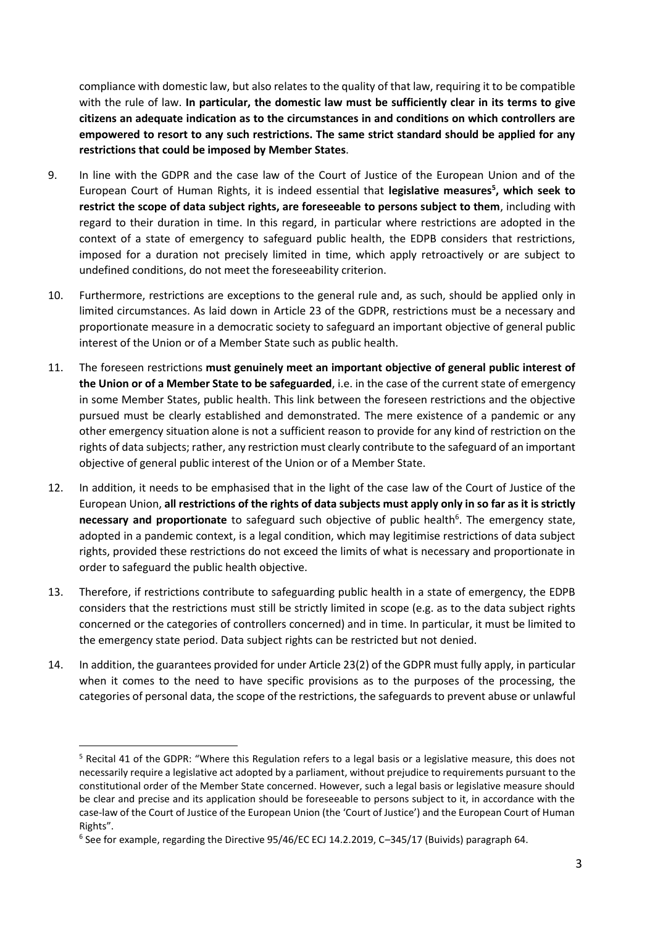compliance with domestic law, but also relates to the quality of that law, requiring it to be compatible with the rule of law. **In particular, the domestic law must be sufficiently clear in its terms to give citizens an adequate indication as to the circumstances in and conditions on which controllers are empowered to resort to any such restrictions. The same strict standard should be applied for any restrictions that could be imposed by Member States**.

- 9. In line with the GDPR and the case law of the Court of Justice of the European Union and of the European Court of Human Rights, it is indeed essential that **legislative measures<sup>5</sup> , which seek to restrict the scope of data subject rights, are foreseeable to persons subject to them**, including with regard to their duration in time. In this regard, in particular where restrictions are adopted in the context of a state of emergency to safeguard public health, the EDPB considers that restrictions, imposed for a duration not precisely limited in time, which apply retroactively or are subject to undefined conditions, do not meet the foreseeability criterion.
- 10. Furthermore, restrictions are exceptions to the general rule and, as such, should be applied only in limited circumstances. As laid down in Article 23 of the GDPR, restrictions must be a necessary and proportionate measure in a democratic society to safeguard an important objective of general public interest of the Union or of a Member State such as public health.
- 11. The foreseen restrictions **must genuinely meet an important objective of general public interest of the Union or of a Member State to be safeguarded**, i.e. in the case of the current state of emergency in some Member States, public health. This link between the foreseen restrictions and the objective pursued must be clearly established and demonstrated. The mere existence of a pandemic or any other emergency situation alone is not a sufficient reason to provide for any kind of restriction on the rights of data subjects; rather, any restriction must clearly contribute to the safeguard of an important objective of general public interest of the Union or of a Member State.
- 12. In addition, it needs to be emphasised that in the light of the case law of the Court of Justice of the European Union, **all restrictions of the rights of data subjects must apply only in so far as it is strictly** necessary and proportionate to safeguard such objective of public health<sup>6</sup>. The emergency state, adopted in a pandemic context, is a legal condition, which may legitimise restrictions of data subject rights, provided these restrictions do not exceed the limits of what is necessary and proportionate in order to safeguard the public health objective.
- 13. Therefore, if restrictions contribute to safeguarding public health in a state of emergency, the EDPB considers that the restrictions must still be strictly limited in scope (e.g. as to the data subject rights concerned or the categories of controllers concerned) and in time. In particular, it must be limited to the emergency state period. Data subject rights can be restricted but not denied.
- 14. In addition, the guarantees provided for under Article 23(2) of the GDPR must fully apply, in particular when it comes to the need to have specific provisions as to the purposes of the processing, the categories of personal data, the scope of the restrictions, the safeguards to prevent abuse or unlawful

<sup>5</sup> Recital 41 of the GDPR: "Where this Regulation refers to a legal basis or a legislative measure, this does not necessarily require a legislative act adopted by a parliament, without prejudice to requirements pursuant to the constitutional order of the Member State concerned. However, such a legal basis or legislative measure should be clear and precise and its application should be foreseeable to persons subject to it, in accordance with the case-law of the Court of Justice of the European Union (the 'Court of Justice') and the European Court of Human Rights".

<sup>6</sup> See for example, regarding the Directive 95/46/EC ECJ 14.2.2019, C–345/17 (Buivids) paragraph 64.